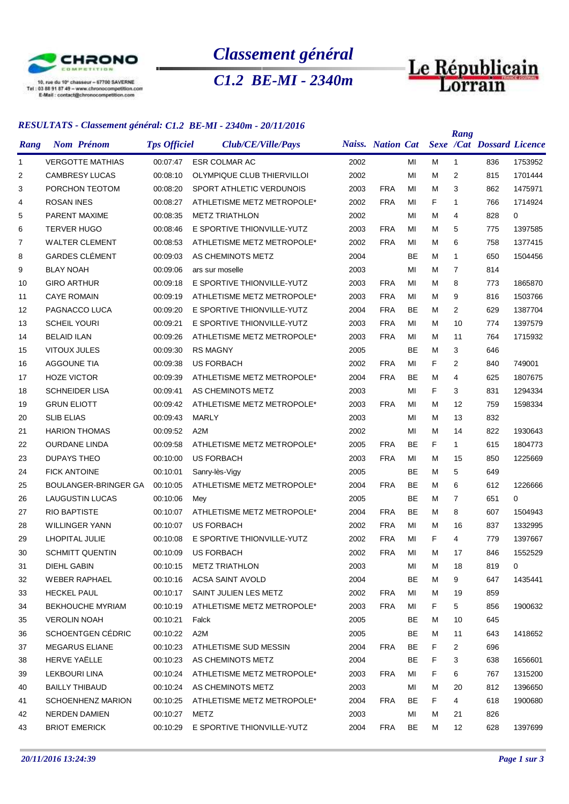

*Classement général*

*C1.2 BE-MI - 2340m*



## *RESULTATS - Classement général: C1.2 BE-MI - 2340m - 20/11/2016*

|              |                        | $\sum_{i=1}^{n}$            |                     |                   |                            |      |                          |           |    | Rang         |                                  |             |
|--------------|------------------------|-----------------------------|---------------------|-------------------|----------------------------|------|--------------------------|-----------|----|--------------|----------------------------------|-------------|
| Rang         | <b>Nom Prénom</b>      |                             | <b>Tps Officiel</b> |                   | Club/CE/Ville/Pays         |      | <b>Naiss.</b> Nation Cat |           |    |              | <b>Sexe /Cat Dossard Licence</b> |             |
| $\mathbf{1}$ |                        | <b>VERGOTTE MATHIAS</b>     | 00:07:47            |                   | <b>ESR COLMAR AC</b>       | 2002 |                          | MI        | м  | $\mathbf{1}$ | 836                              | 1753952     |
| 2            | <b>CAMBRESY LUCAS</b>  |                             | 00:08:10            |                   | OLYMPIQUE CLUB THIERVILLOI | 2002 |                          | MI        | м  | 2            | 815                              | 1701444     |
| 3            | PORCHON TEOTOM         |                             | 00:08:20            |                   | SPORT ATHLETIC VERDUNOIS   | 2003 | <b>FRA</b>               | MI        | м  | 3            | 862                              | 1475971     |
| 4            | <b>ROSAN INES</b>      |                             | 00:08:27            |                   | ATHLETISME METZ METROPOLE* | 2002 | <b>FRA</b>               | MI        | F  | 1            | 766                              | 1714924     |
| 5            | <b>PARENT MAXIME</b>   |                             | 00:08:35            |                   | <b>METZ TRIATHLON</b>      | 2002 |                          | MI        | М  | 4            | 828                              | $\mathbf 0$ |
| 6            | <b>TERVER HUGO</b>     |                             | 00:08:46            |                   | E SPORTIVE THIONVILLE-YUTZ | 2003 | <b>FRA</b>               | MI        | м  | 5            | 775                              | 1397585     |
| 7            | <b>WALTER CLEMENT</b>  |                             | 00:08:53            |                   | ATHLETISME METZ METROPOLE* | 2002 | <b>FRA</b>               | MI        | м  | 6            | 758                              | 1377415     |
| 8            | <b>GARDES CLÉMENT</b>  |                             | 00:09:03            |                   | AS CHEMINOTS METZ          | 2004 |                          | <b>BE</b> | м  | 1            | 650                              | 1504456     |
| 9            | <b>BLAY NOAH</b>       |                             | 00:09:06            | ars sur moselle   |                            | 2003 |                          | MI        | м  | 7            | 814                              |             |
| 10           | <b>GIRO ARTHUR</b>     |                             | 00:09:18            |                   | E SPORTIVE THIONVILLE-YUTZ | 2003 | <b>FRA</b>               | MI        | м  | 8            | 773                              | 1865870     |
| 11           | <b>CAYE ROMAIN</b>     |                             | 00:09:19            |                   | ATHLETISME METZ METROPOLE* | 2003 | <b>FRA</b>               | MI        | М  | 9            | 816                              | 1503766     |
| 12           | PAGNACCO LUCA          |                             | 00:09:20            |                   | E SPORTIVE THIONVILLE-YUTZ | 2004 | <b>FRA</b>               | BE        | м  | 2            | 629                              | 1387704     |
| 13           | <b>SCHEIL YOURI</b>    |                             | 00:09:21            |                   | E SPORTIVE THIONVILLE-YUTZ | 2003 | <b>FRA</b>               | MI        | м  | 10           | 774                              | 1397579     |
| 14           | <b>BELAID ILAN</b>     |                             | 00:09:26            |                   | ATHLETISME METZ METROPOLE* | 2003 | <b>FRA</b>               | MI        | м  | 11           | 764                              | 1715932     |
| 15           | <b>VITOUX JULES</b>    |                             | 00:09:30            | <b>RS MAGNY</b>   |                            | 2005 |                          | <b>BE</b> | М  | 3            | 646                              |             |
| 16           | <b>AGGOUNE TIA</b>     |                             | 00:09:38            | <b>US FORBACH</b> |                            | 2002 | <b>FRA</b>               | MI        | F  | 2            | 840                              | 749001      |
| 17           | <b>HOZE VICTOR</b>     |                             | 00:09:39            |                   | ATHLETISME METZ METROPOLE* | 2004 | <b>FRA</b>               | BE        | М  | 4            | 625                              | 1807675     |
| 18           | <b>SCHNEIDER LISA</b>  |                             | 00:09:41            |                   | AS CHEMINOTS METZ          | 2003 |                          | MI        | F  | 3            | 831                              | 1294334     |
| 19           | <b>GRUN ELIOTT</b>     |                             | 00:09:42            |                   | ATHLETISME METZ METROPOLE* | 2003 | <b>FRA</b>               | MI        | М  | 12           | 759                              | 1598334     |
| 20           | <b>SLIB ELIAS</b>      |                             | 00:09:43            | <b>MARLY</b>      |                            | 2003 |                          | MI        | м  | 13           | 832                              |             |
| 21           | <b>HARION THOMAS</b>   |                             | 00:09:52            | A <sub>2</sub> M  |                            | 2002 |                          | MI        | М  | 14           | 822                              | 1930643     |
| 22           | <b>OURDANE LINDA</b>   |                             | 00:09:58            |                   | ATHLETISME METZ METROPOLE* | 2005 | <b>FRA</b>               | <b>BE</b> | F. | $\mathbf{1}$ | 615                              | 1804773     |
| 23           | <b>DUPAYS THEO</b>     |                             | 00:10:00            | <b>US FORBACH</b> |                            | 2003 | <b>FRA</b>               | MI        | м  | 15           | 850                              | 1225669     |
| 24           | <b>FICK ANTOINE</b>    |                             | 00:10:01            | Sanry-lès-Vigy    |                            | 2005 |                          | BE        | м  | 5            | 649                              |             |
| 25           |                        | <b>BOULANGER-BRINGER GA</b> | 00:10:05            |                   | ATHLETISME METZ METROPOLE* | 2004 | <b>FRA</b>               | <b>BE</b> | м  | 6            | 612                              | 1226666     |
| 26           | <b>LAUGUSTIN LUCAS</b> |                             | 00:10:06            | Mey               |                            | 2005 |                          | <b>BE</b> | м  | 7            | 651                              | $\mathbf 0$ |
| 27           | <b>RIO BAPTISTE</b>    |                             | 00:10:07            |                   | ATHLETISME METZ METROPOLE* | 2004 | <b>FRA</b>               | BE        | м  | 8            | 607                              | 1504943     |
| 28           | <b>WILLINGER YANN</b>  |                             | 00:10:07            | <b>US FORBACH</b> |                            | 2002 | <b>FRA</b>               | MI        | м  | 16           | 837                              | 1332995     |
| 29           | LHOPITAL JULIE         |                             | 00:10:08            |                   | E SPORTIVE THIONVILLE-YUTZ | 2002 | <b>FRA</b>               | MI        | F  | 4            | 779                              | 1397667     |
| 30           | <b>SCHMITT QUENTIN</b> |                             | 00:10:09            | <b>US FORBACH</b> |                            | 2002 | <b>FRA</b>               | MI        | м  | 17           | 846                              | 1552529     |
| 31           | DIEHL GABIN            |                             | 00:10:15            |                   | <b>METZ TRIATHLON</b>      | 2003 |                          | MI        | М  | 18           | 819                              | 0           |
| 32           | <b>WEBER RAPHAEL</b>   |                             | 00:10:16            |                   | <b>ACSA SAINT AVOLD</b>    | 2004 |                          | BE        | м  | 9            | 647                              | 1435441     |
| 33           | <b>HECKEL PAUL</b>     |                             | 00:10:17            |                   | SAINT JULIEN LES METZ      | 2002 | <b>FRA</b>               | MI        | м  | 19           | 859                              |             |
| 34           |                        | <b>BEKHOUCHE MYRIAM</b>     | 00:10:19            |                   | ATHLETISME METZ METROPOLE* | 2003 | <b>FRA</b>               | MI        | F. | 5            | 856                              | 1900632     |
| 35           | <b>VEROLIN NOAH</b>    |                             | 00:10:21            | Falck             |                            | 2005 |                          | BE        | м  | 10           | 645                              |             |
| 36           |                        | SCHOENTGEN CÉDRIC           | 00:10:22            | A2M               |                            | 2005 |                          | BE        | м  | 11           | 643                              | 1418652     |
| 37           | <b>MEGARUS ELIANE</b>  |                             | 00:10:23            |                   | ATHLETISME SUD MESSIN      | 2004 | <b>FRA</b>               | BE        | F. | 2            | 696                              |             |
| 38           | HERVE YAËLLE           |                             | 00:10:23            |                   | AS CHEMINOTS METZ          | 2004 |                          | BE        | F  | 3            | 638                              | 1656601     |
| 39           | LEKBOURI LINA          |                             | 00:10:24            |                   | ATHLETISME METZ METROPOLE* | 2003 | <b>FRA</b>               | MI        | F  | 6            | 767                              | 1315200     |
| 40           | <b>BAILLY THIBAUD</b>  |                             | 00:10:24            |                   | AS CHEMINOTS METZ          | 2003 |                          | MI        | М  | 20           | 812                              | 1396650     |
| 41           |                        | <b>SCHOENHENZ MARION</b>    | 00:10:25            |                   | ATHLETISME METZ METROPOLE* | 2004 | <b>FRA</b>               | BE        | F. | 4            | 618                              | 1900680     |
| 42           | NERDEN DAMIEN          |                             | 00:10:27            | METZ              |                            | 2003 |                          | MI        | м  | 21           | 826                              |             |
| 43           | <b>BRIOT EMERICK</b>   |                             | 00:10:29            |                   | E SPORTIVE THIONVILLE-YUTZ | 2004 | <b>FRA</b>               | BE        | м  | 12           | 628                              | 1397699     |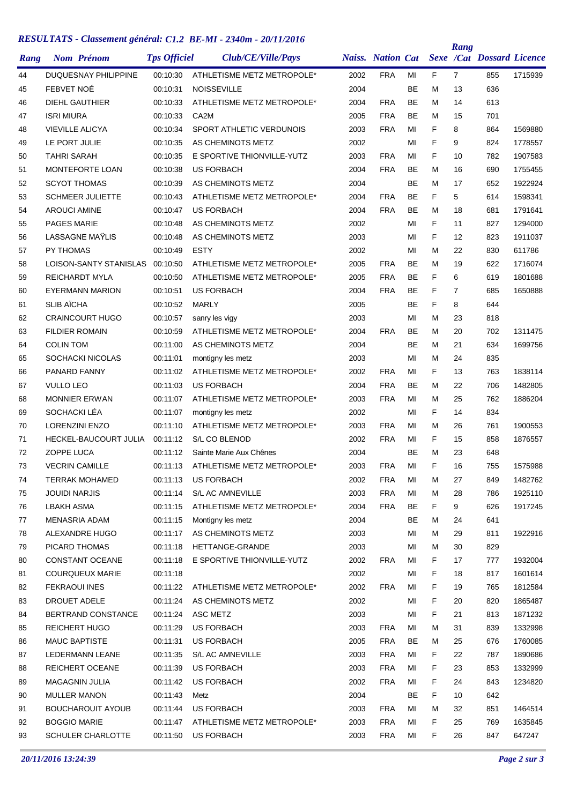## *RESULTATS - Classement général: C1.2 BE-MI - 2340m - 20/11/2016*

|      |                              |                     |                            |      |                          |           |    | Rang           |                                  |         |
|------|------------------------------|---------------------|----------------------------|------|--------------------------|-----------|----|----------------|----------------------------------|---------|
| Rang | <b>Nom Prénom</b>            | <b>Tps Officiel</b> | Club/CE/Ville/Pays         |      | <b>Naiss.</b> Nation Cat |           |    |                | <b>Sexe /Cat Dossard Licence</b> |         |
| 44   | <b>DUQUESNAY PHILIPPINE</b>  | 00:10:30            | ATHLETISME METZ METROPOLE* | 2002 | <b>FRA</b>               | MI        | F  | $\overline{7}$ | 855                              | 1715939 |
| 45   | FEBVET NOË                   | 00:10:31            | <b>NOISSEVILLE</b>         | 2004 |                          | <b>BE</b> | м  | 13             | 636                              |         |
| 46   | <b>DIEHL GAUTHIER</b>        | 00:10:33            | ATHLETISME METZ METROPOLE* | 2004 | <b>FRA</b>               | <b>BE</b> | м  | 14             | 613                              |         |
| 47   | <b>ISRI MIURA</b>            | 00:10:33            | CA <sub>2</sub> M          | 2005 | <b>FRA</b>               | <b>BE</b> | м  | 15             | 701                              |         |
| 48   | <b>VIEVILLE ALICYA</b>       | 00:10:34            | SPORT ATHLETIC VERDUNOIS   | 2003 | <b>FRA</b>               | MI        | F  | 8              | 864                              | 1569880 |
| 49   | LE PORT JULIE                | 00:10:35            | AS CHEMINOTS METZ          | 2002 |                          | MI        | F  | 9              | 824                              | 1778557 |
| 50   | <b>TAHRI SARAH</b>           | 00:10:35            | E SPORTIVE THIONVILLE-YUTZ | 2003 | <b>FRA</b>               | MI        | F  | 10             | 782                              | 1907583 |
| 51   | <b>MONTEFORTE LOAN</b>       | 00:10:38            | <b>US FORBACH</b>          | 2004 | <b>FRA</b>               | <b>BE</b> | м  | 16             | 690                              | 1755455 |
| 52   | <b>SCYOT THOMAS</b>          | 00:10:39            | AS CHEMINOTS METZ          | 2004 |                          | <b>BE</b> | м  | 17             | 652                              | 1922924 |
| 53   | <b>SCHMEER JULIETTE</b>      | 00:10:43            | ATHLETISME METZ METROPOLE* | 2004 | <b>FRA</b>               | <b>BE</b> | F  | 5              | 614                              | 1598341 |
| 54   | <b>AROUCI AMINE</b>          | 00:10:47            | <b>US FORBACH</b>          | 2004 | <b>FRA</b>               | <b>BE</b> | м  | 18             | 681                              | 1791641 |
| 55   | <b>PAGES MARIE</b>           | 00:10:48            | AS CHEMINOTS METZ          | 2002 |                          | MI        | F  | 11             | 827                              | 1294000 |
| 56   | <b>LASSAGNE MAYLIS</b>       | 00:10:48            | AS CHEMINOTS METZ          | 2003 |                          | MI        | F  | 12             | 823                              | 1911037 |
| 57   | PY THOMAS                    | 00:10:49            | <b>ESTY</b>                | 2002 |                          | MI        | м  | 22             | 830                              | 611786  |
| 58   | LOISON-SANTY STANISLAS       | 00:10:50            | ATHLETISME METZ METROPOLE* | 2005 | <b>FRA</b>               | <b>BE</b> | м  | 19             | 622                              | 1716074 |
| 59   | <b>REICHARDT MYLA</b>        | 00:10:50            | ATHLETISME METZ METROPOLE* | 2005 | <b>FRA</b>               | <b>BE</b> | F  | 6              | 619                              | 1801688 |
| 60   | <b>EYERMANN MARION</b>       | 00:10:51            | <b>US FORBACH</b>          | 2004 | <b>FRA</b>               | <b>BE</b> | F  | 7              | 685                              | 1650888 |
| 61   | <b>SLIB AÏCHA</b>            | 00:10:52            | <b>MARLY</b>               | 2005 |                          | <b>BE</b> | F  | 8              | 644                              |         |
| 62   | <b>CRAINCOURT HUGO</b>       | 00:10:57            | sanry les vigy             | 2003 |                          | MI        | м  | 23             | 818                              |         |
| 63   | <b>FILDIER ROMAIN</b>        | 00:10:59            | ATHLETISME METZ METROPOLE* | 2004 | <b>FRA</b>               | <b>BE</b> | м  | 20             | 702                              | 1311475 |
| 64   | <b>COLIN TOM</b>             | 00:11:00            | AS CHEMINOTS METZ          | 2004 |                          | <b>BE</b> | м  | 21             | 634                              | 1699756 |
| 65   | <b>SOCHACKI NICOLAS</b>      | 00:11:01            | montigny les metz          | 2003 |                          | MI        | м  | 24             | 835                              |         |
| 66   | PANARD FANNY                 | 00:11:02            | ATHLETISME METZ METROPOLE* | 2002 | FRA                      | MI        | F  | 13             | 763                              | 1838114 |
| 67   | <b>VULLO LEO</b>             | 00:11:03            | <b>US FORBACH</b>          | 2004 | <b>FRA</b>               | <b>BE</b> | м  | 22             | 706                              | 1482805 |
| 68   | <b>MONNIER ERWAN</b>         | 00:11:07            | ATHLETISME METZ METROPOLE* | 2003 | <b>FRA</b>               | MI        | м  | 25             | 762                              | 1886204 |
| 69   | SOCHACKI LÉA                 | 00:11:07            | montigny les metz          | 2002 |                          | MI        | F  | 14             | 834                              |         |
| 70   | <b>LORENZINI ENZO</b>        | 00:11:10            | ATHLETISME METZ METROPOLE* | 2003 | <b>FRA</b>               | MI        | м  | 26             | 761                              | 1900553 |
| 71   | <b>HECKEL-BAUCOURT JULIA</b> | 00:11:12            | S/L CO BLENOD              | 2002 | <b>FRA</b>               | MI        | F  | 15             | 858                              | 1876557 |
| 72   | ZOPPE LUCA                   | 00:11:12            | Sainte Marie Aux Chênes    | 2004 |                          | <b>BE</b> | м  | 23             | 648                              |         |
| 73   | <b>VECRIN CAMILLE</b>        | 00:11:13            | ATHLETISME METZ METROPOLE* | 2003 | <b>FRA</b>               | MI        | F  | 16             | 755                              | 1575988 |
| 74   | <b>TERRAK MOHAMED</b>        | 00:11:13            | <b>US FORBACH</b>          | 2002 | <b>FRA</b>               | MI        | М  | 27             | 849                              | 1482762 |
| 75   | <b>JOUIDI NARJIS</b>         | 00:11:14            | S/L AC AMNEVILLE           | 2003 | <b>FRA</b>               | MI        | м  | 28             | 786                              | 1925110 |
| 76   | <b>LBAKH ASMA</b>            | 00:11:15            | ATHLETISME METZ METROPOLE* | 2004 | FRA                      | BE        | F. | 9              | 626                              | 1917245 |
| 77   | MENASRIA ADAM                | 00:11:15            | Montigny les metz          | 2004 |                          | BE        | м  | 24             | 641                              |         |
| 78   | ALEXANDRE HUGO               | 00:11:17            | AS CHEMINOTS METZ          | 2003 |                          | MI        | м  | 29             | 811                              | 1922916 |
| 79   | PICARD THOMAS                | 00:11:18            | HETTANGE-GRANDE            | 2003 |                          | MI        | м  | 30             | 829                              |         |
| 80   | CONSTANT OCEANE              | 00:11:18            | E SPORTIVE THIONVILLE-YUTZ | 2002 | <b>FRA</b>               | MI        | F. | 17             | 777                              | 1932004 |
| 81   | <b>COURQUEUX MARIE</b>       | 00:11:18            |                            | 2002 |                          | MI        | F. | 18             | 817                              | 1601614 |
| 82   | <b>FEKRAOUI INES</b>         | 00:11:22            | ATHLETISME METZ METROPOLE* | 2002 | <b>FRA</b>               | MI        | F  | 19             | 765                              | 1812584 |
| 83   | DROUET ADELE                 | 00:11:24            | AS CHEMINOTS METZ          | 2002 |                          | MI        | F  | 20             | 820                              | 1865487 |
| 84   | BERTRAND CONSTANCE           | 00:11:24            | ASC METZ                   | 2003 |                          | MI        | F  | 21             | 813                              | 1871232 |
| 85   | <b>REICHERT HUGO</b>         | 00:11:29            | US FORBACH                 | 2003 | <b>FRA</b>               | MI        | м  | 31             | 839                              | 1332998 |
| 86   | <b>MAUC BAPTISTE</b>         | 00:11:31            | <b>US FORBACH</b>          | 2005 | FRA                      | BE        | м  | 25             | 676                              | 1760085 |
| 87   | LEDERMANN LEANE              | 00:11:35            | S/L AC AMNEVILLE           | 2003 | <b>FRA</b>               | MI        | F  | 22             | 787                              | 1890686 |
| 88   | REICHERT OCEANE              | 00:11:39            | US FORBACH                 | 2003 | <b>FRA</b>               | MI        | F  | 23             | 853                              | 1332999 |
| 89   | <b>MAGAGNIN JULIA</b>        | 00:11:42            | <b>US FORBACH</b>          | 2002 | <b>FRA</b>               | MI        | F  | 24             | 843                              | 1234820 |
| 90   | <b>MULLER MANON</b>          | 00:11:43            | Metz                       | 2004 |                          | <b>BE</b> | F  | 10             | 642                              |         |
| 91   | <b>BOUCHAROUIT AYOUB</b>     | 00:11:44            | <b>US FORBACH</b>          | 2003 | <b>FRA</b>               | MI        | м  | 32             | 851                              | 1464514 |
| 92   | <b>BOGGIO MARIE</b>          | 00:11:47            | ATHLETISME METZ METROPOLE* | 2003 | <b>FRA</b>               | MI        | F  | 25             | 769                              | 1635845 |
| 93   | SCHULER CHARLOTTE            | 00:11:50            | <b>US FORBACH</b>          | 2003 | <b>FRA</b>               | MI        | F. | 26             | 847                              | 647247  |